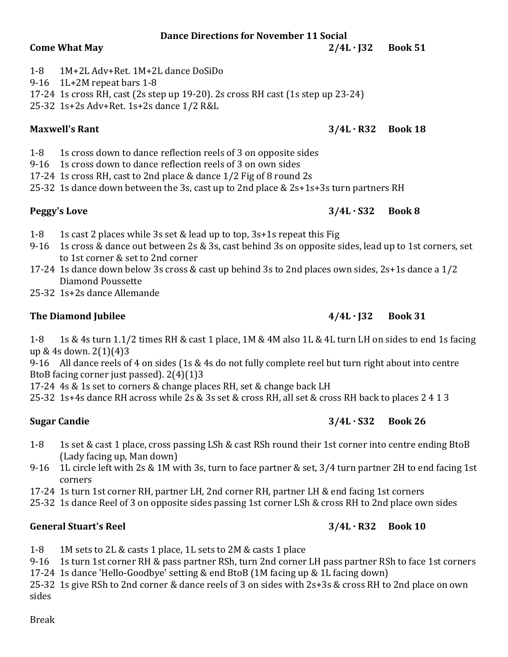### **Dance Directions for November 11 Social**

### 1-8 1M+2L Adv+Ret. 1M+2L dance DoSiDo

### 9-16 1L+2M repeat bars 1-8

17-24 1s cross RH, cast (2s step up 19-20). 2s cross RH cast (1s step up 23-24)

25-32 1s+2s Adv+Ret. 1s+2s dance 1/2 R&L

- 1-8 1s cross down to dance reflection reels of 3 on opposite sides
- 9-16 1s cross down to dance reflection reels of 3 on own sides
- 17-24 1s cross RH, cast to 2nd place & dance 1/2 Fig of 8 round 2s
- 25-32 1s dance down between the 3s, cast up to 2nd place & 2s+1s+3s turn partners RH

### **Peggy's Love 3/4L · S32 Book 8**

- 1-8 1s cast 2 places while 3s set & lead up to top, 3s+1s repeat this Fig
- 9-16 1s cross & dance out between 2s & 3s, cast behind 3s on opposite sides, lead up to 1st corners, set to 1st corner & set to 2nd corner
- 17-24 1s dance down below 3s cross & cast up behind 3s to 2nd places own sides, 2s+1s dance a 1/2 Diamond Poussette
- 25-32 1s+2s dance Allemande

# **The Diamond Jubilee 4/4L · J32 Book 31**

1-8 1s & 4s turn 1.1/2 times RH & cast 1 place, 1M & 4M also 1L & 4L turn LH on sides to end 1s facing up & 4s down. 2(1)(4)3

9-16 All dance reels of 4 on sides (1s & 4s do not fully complete reel but turn right about into centre BtoB facing corner just passed). 2(4)(1)3

17-24 4s & 1s set to corners & change places RH, set & change back LH

25-32 1s+4s dance RH across while 2s & 3s set & cross RH, all set & cross RH back to places 2 4 1 3

## **Sugar Candie 3/4L · S32 Book 26**

- 1-8 1s set & cast 1 place, cross passing LSh & cast RSh round their 1st corner into centre ending BtoB (Lady facing up, Man down)
- 9-16 1L circle left with 2s & 1M with 3s, turn to face partner & set, 3/4 turn partner 2H to end facing 1st corners
- 17-24 1s turn 1st corner RH, partner LH, 2nd corner RH, partner LH & end facing 1st corners
- 25-32 1s dance Reel of 3 on opposite sides passing 1st corner LSh & cross RH to 2nd place own sides

## **General Stuart's Reel 3/4L · R32 Book 10**

1-8 1M sets to 2L & casts 1 place, 1L sets to 2M & casts 1 place

9-16 1s turn 1st corner RH & pass partner RSh, turn 2nd corner LH pass partner RSh to face 1st corners

17-24 1s dance 'Hello-Goodbye' setting & end BtoB (1M facing up & 1L facing down)

25-32 1s give RSh to 2nd corner & dance reels of 3 on sides with 2s+3s & cross RH to 2nd place on own sides

# **Come What May 2/4L · J32 Book 51**

# **Maxwell's Rant 3/4L · R32 Book 18**